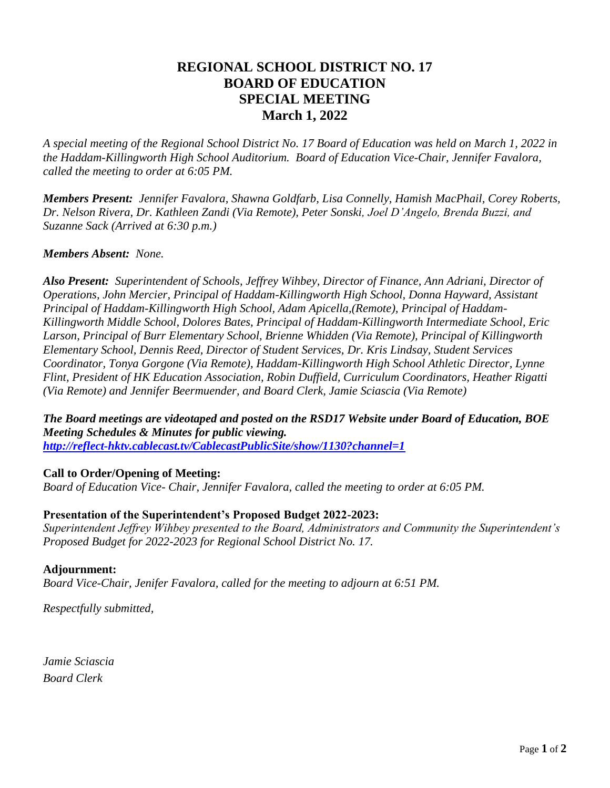# **REGIONAL SCHOOL DISTRICT NO. 17 BOARD OF EDUCATION SPECIAL MEETING March 1, 2022**

*A special meeting of the Regional School District No. 17 Board of Education was held on March 1, 2022 in the Haddam-Killingworth High School Auditorium. Board of Education Vice-Chair, Jennifer Favalora, called the meeting to order at 6:05 PM.*

*Members Present: Jennifer Favalora, Shawna Goldfarb, Lisa Connelly, Hamish MacPhail, Corey Roberts, Dr. Nelson Rivera, Dr. Kathleen Zandi (Via Remote), Peter Sonski, Joel D'Angelo, Brenda Buzzi, and Suzanne Sack (Arrived at 6:30 p.m.)* 

### *Members Absent: None.*

*Also Present: Superintendent of Schools, Jeffrey Wihbey, Director of Finance, Ann Adriani, Director of Operations, John Mercier, Principal of Haddam-Killingworth High School, Donna Hayward, Assistant Principal of Haddam-Killingworth High School, Adam Apicella,(Remote), Principal of Haddam-Killingworth Middle School, Dolores Bates, Principal of Haddam-Killingworth Intermediate School, Eric Larson, Principal of Burr Elementary School, Brienne Whidden (Via Remote), Principal of Killingworth Elementary School, Dennis Reed, Director of Student Services, Dr. Kris Lindsay, Student Services Coordinator, Tonya Gorgone (Via Remote), Haddam-Killingworth High School Athletic Director, Lynne Flint, President of HK Education Association, Robin Duffield, Curriculum Coordinators, Heather Rigatti (Via Remote) and Jennifer Beermuender, and Board Clerk, Jamie Sciascia (Via Remote)*

*The Board meetings are videotaped and posted on the RSD17 Website under Board of Education, BOE Meeting Schedules & Minutes for public viewing. <http://reflect-hktv.cablecast.tv/CablecastPublicSite/show/1130?channel=1>*

#### **Call to Order/Opening of Meeting:**

*Board of Education Vice- Chair, Jennifer Favalora, called the meeting to order at 6:05 PM.* 

## **Presentation of the Superintendent's Proposed Budget 2022-2023:**

*Superintendent Jeffrey Wihbey presented to the Board, Administrators and Community the Superintendent's Proposed Budget for 2022-2023 for Regional School District No. 17.*

## **Adjournment:**

*Board Vice-Chair, Jenifer Favalora, called for the meeting to adjourn at 6:51 PM.*

*Respectfully submitted,*

*Jamie Sciascia Board Clerk*